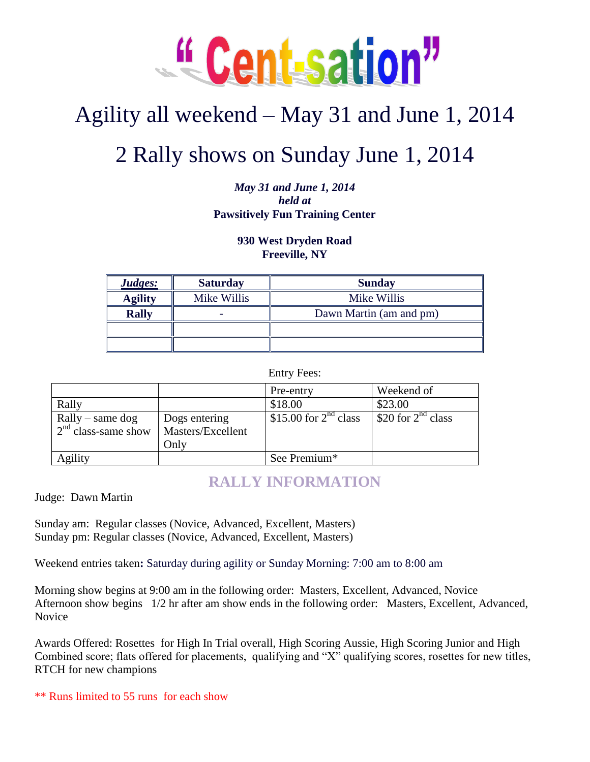

# Agility all weekend – May 31 and June 1, 2014

# 2 Rally shows on Sunday June 1, 2014

*May 31 and June 1, 2014 held at*  **Pawsitively Fun Training Center**

### **930 West Dryden Road Freeville, NY**

| Judges:        | <b>Saturday</b> | <b>Sunday</b>           |  |
|----------------|-----------------|-------------------------|--|
| <b>Agility</b> | Mike Willis     | Mike Willis             |  |
| <b>Rally</b>   |                 | Dawn Martin (am and pm) |  |
|                |                 |                         |  |
|                |                 |                         |  |

Entry Fees:

|                                             |                                    | Pre-entry               | Weekend of              |
|---------------------------------------------|------------------------------------|-------------------------|-------------------------|
| Rally                                       |                                    | \$18.00                 | \$23.00                 |
| $Rally - same dog$<br>$2nd$ class-same show | Dogs entering<br>Masters/Excellent | \$15.00 for $2nd$ class | \$20 for $2^{nd}$ class |
|                                             | Only                               |                         |                         |
| Agility                                     |                                    | See Premium*            |                         |

## **RALLY INFORMATION**

Judge: Dawn Martin

Sunday am: Regular classes (Novice, Advanced, Excellent, Masters) Sunday pm: Regular classes (Novice, Advanced, Excellent, Masters)

Weekend entries taken**:** Saturday during agility or Sunday Morning: 7:00 am to 8:00 am

Morning show begins at 9:00 am in the following order: Masters, Excellent, Advanced, Novice Afternoon show begins 1/2 hr after am show ends in the following order: Masters, Excellent, Advanced, Novice

Awards Offered: Rosettes for High In Trial overall, High Scoring Aussie, High Scoring Junior and High Combined score; flats offered for placements, qualifying and "X" qualifying scores, rosettes for new titles, RTCH for new champions

\*\* Runs limited to 55 runs for each show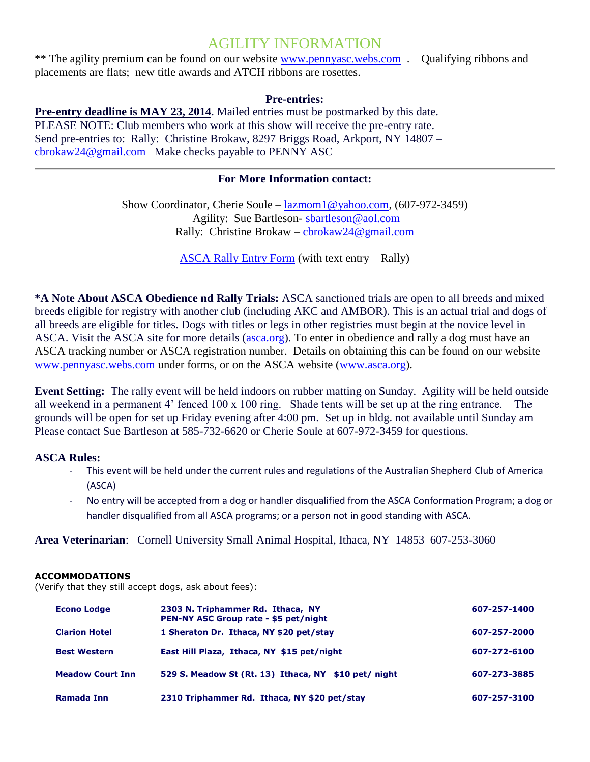## AGILITY INFORMATION

\*\* The agility premium can be found on our website [www.pennyasc.webs.com](http://www.pennyasc.webs.com/) . Qualifying ribbons and placements are flats; new title awards and ATCH ribbons are rosettes.

#### **Pre-entries:**

**Pre-entry deadline is MAY 23, 2014**. Mailed entries must be postmarked by this date. PLEASE NOTE: Club members who work at this show will receive the pre-entry rate. Send pre-entries to: Rally: Christine Brokaw, 8297 Briggs Road, Arkport, NY 14807 – [cbrokaw24@gmail.com](mailto:cbrokaw24@gmail.com) Make checks payable to PENNY ASC

### **For More Information contact:**

Show Coordinator, Cherie Soule – [lazmom1@yahoo.com,](mailto:lazmom1@yahoo.com) (607-972-3459) Agility: Sue Bartleson- [sbartleson@aol.com](mailto:sbartleson@aol.com) Rally: Christine Brokaw – [cbrokaw24@gmail.com](mailto:cbrokaw24@gmail.com)

[ASCA Rally Entry Form](http://www.asca.org/Portals/0/forms/rallyentrywtx.pdf) (with text entry – Rally)

**\*A Note About ASCA Obedience nd Rally Trials:** ASCA sanctioned trials are open to all breeds and mixed breeds eligible for registry with another club (including AKC and AMBOR). This is an actual trial and dogs of all breeds are eligible for titles. Dogs with titles or legs in other registries must begin at the novice level in ASCA. Visit the ASCA site for more details [\(asca.org\)](http://www.asca.org/). To enter in obedience and rally a dog must have an ASCA tracking number or ASCA registration number. Details on obtaining this can be found on our website [www.pennyasc.webs.com](http://www.pennyasc.webs.com/) under forms, or on the ASCA website [\(www.asca.org\)](http://www.asca.org/).

**Event Setting:** The rally event will be held indoors on rubber matting on Sunday. Agility will be held outside all weekend in a permanent 4' fenced 100 x 100 ring. Shade tents will be set up at the ring entrance. The grounds will be open for set up Friday evening after 4:00 pm. Set up in bldg. not available until Sunday am Please contact Sue Bartleson at 585-732-6620 or Cherie Soule at 607-972-3459 for questions.

#### **ASCA Rules:**

- This event will be held under the current rules and regulations of the Australian Shepherd Club of America (ASCA)
- No entry will be accepted from a dog or handler disqualified from the ASCA Conformation Program; a dog or handler disqualified from all ASCA programs; or a person not in good standing with ASCA.

**Area Veterinarian**: Cornell University Small Animal Hospital, Ithaca, NY 14853 607-253-3060

#### **ACCOMMODATIONS**

(Verify that they still accept dogs, ask about fees):

| <b>Econo Lodge</b>      | 2303 N. Triphammer Rd. Ithaca, NY<br>PEN-NY ASC Group rate - \$5 pet/night | 607-257-1400 |
|-------------------------|----------------------------------------------------------------------------|--------------|
| <b>Clarion Hotel</b>    | 1 Sheraton Dr. Ithaca, NY \$20 pet/stay                                    | 607-257-2000 |
| <b>Best Western</b>     | East Hill Plaza, Ithaca, NY \$15 pet/night                                 | 607-272-6100 |
| <b>Meadow Court Inn</b> | 529 S. Meadow St (Rt. 13) Ithaca, NY \$10 pet/ night                       | 607-273-3885 |
| Ramada Inn              | 2310 Triphammer Rd. Ithaca, NY \$20 pet/stay                               | 607-257-3100 |